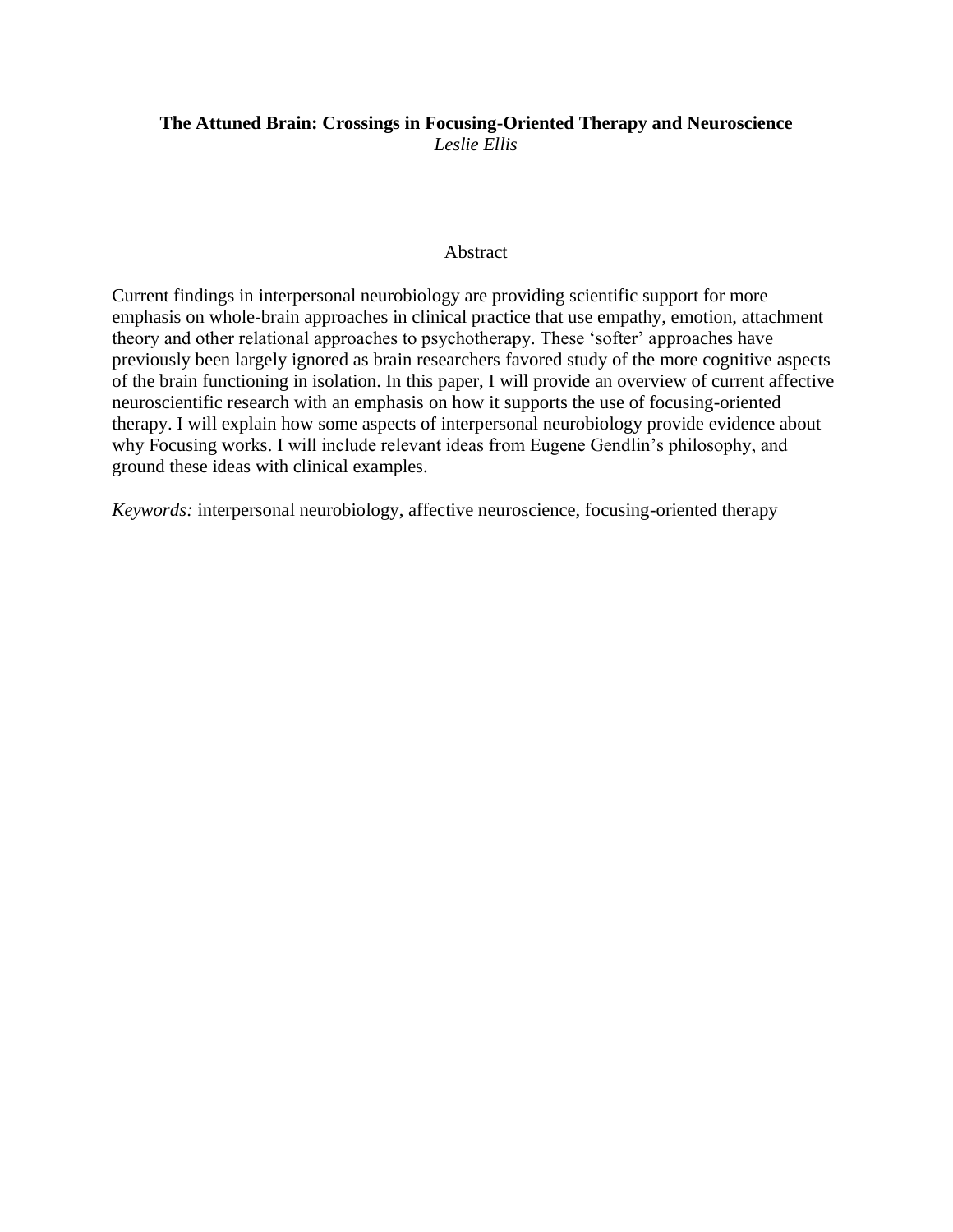# **The Attuned Brain: Crossings in Focusing-Oriented Therapy and Neuroscience** *Leslie Ellis*

## Abstract

Current findings in interpersonal neurobiology are providing scientific support for more emphasis on whole-brain approaches in clinical practice that use empathy, emotion, attachment theory and other relational approaches to psychotherapy. These 'softer' approaches have previously been largely ignored as brain researchers favored study of the more cognitive aspects of the brain functioning in isolation. In this paper, I will provide an overview of current affective neuroscientific research with an emphasis on how it supports the use of focusing-oriented therapy. I will explain how some aspects of interpersonal neurobiology provide evidence about why Focusing works. I will include relevant ideas from Eugene Gendlin's philosophy, and ground these ideas with clinical examples.

*Keywords:* interpersonal neurobiology, affective neuroscience, focusing-oriented therapy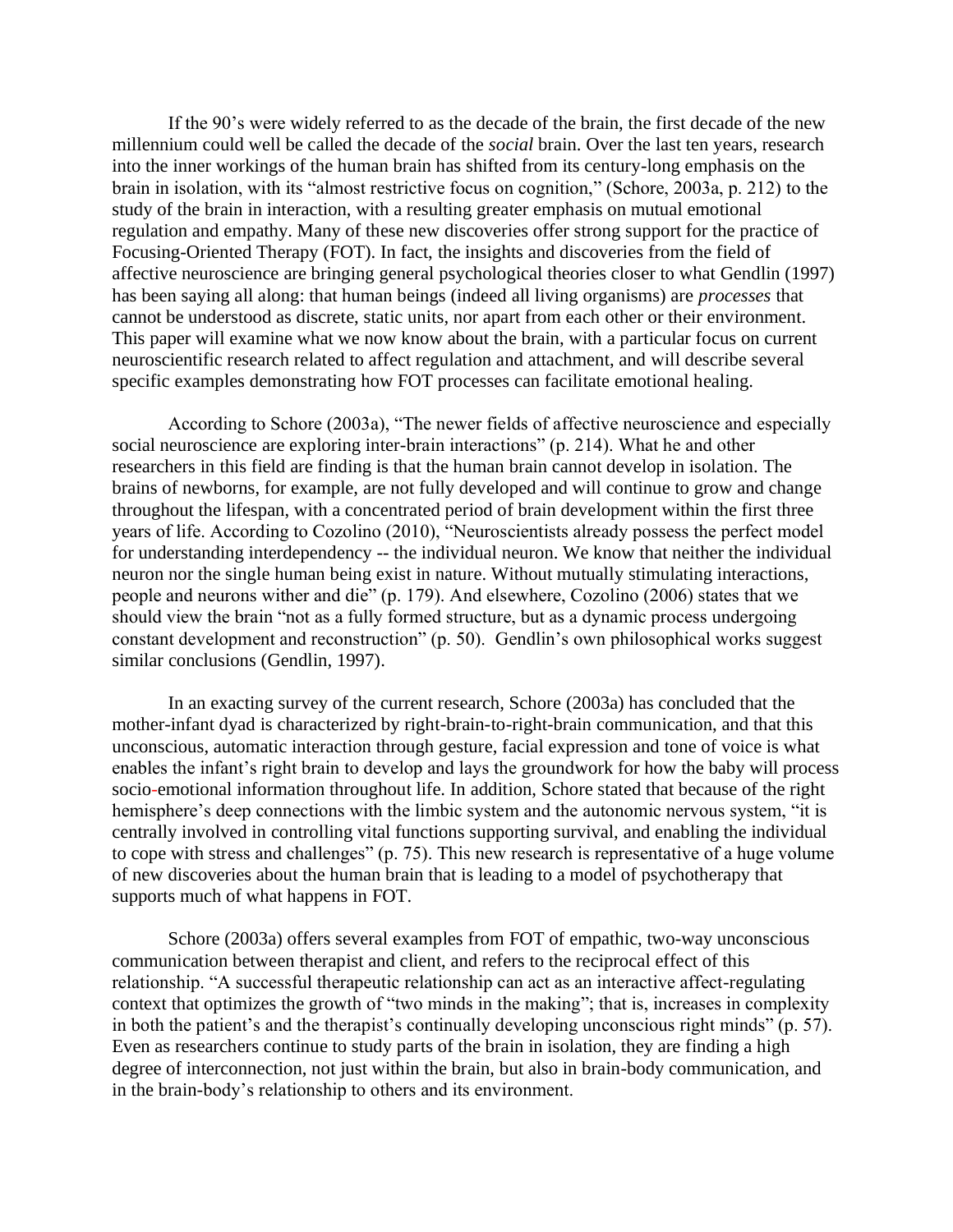If the 90's were widely referred to as the decade of the brain, the first decade of the new millennium could well be called the decade of the *social* brain. Over the last ten years, research into the inner workings of the human brain has shifted from its century-long emphasis on the brain in isolation, with its "almost restrictive focus on cognition," (Schore, 2003a, p. 212) to the study of the brain in interaction, with a resulting greater emphasis on mutual emotional regulation and empathy. Many of these new discoveries offer strong support for the practice of Focusing-Oriented Therapy (FOT). In fact, the insights and discoveries from the field of affective neuroscience are bringing general psychological theories closer to what Gendlin (1997) has been saying all along: that human beings (indeed all living organisms) are *processes* that cannot be understood as discrete, static units, nor apart from each other or their environment. This paper will examine what we now know about the brain, with a particular focus on current neuroscientific research related to affect regulation and attachment, and will describe several specific examples demonstrating how FOT processes can facilitate emotional healing.

According to Schore (2003a), "The newer fields of affective neuroscience and especially social neuroscience are exploring inter-brain interactions" (p. 214). What he and other researchers in this field are finding is that the human brain cannot develop in isolation. The brains of newborns, for example, are not fully developed and will continue to grow and change throughout the lifespan, with a concentrated period of brain development within the first three years of life. According to Cozolino (2010), "Neuroscientists already possess the perfect model for understanding interdependency -- the individual neuron. We know that neither the individual neuron nor the single human being exist in nature. Without mutually stimulating interactions, people and neurons wither and die" (p. 179). And elsewhere, Cozolino (2006) states that we should view the brain "not as a fully formed structure, but as a dynamic process undergoing constant development and reconstruction" (p. 50). Gendlin's own philosophical works suggest similar conclusions (Gendlin, 1997).

In an exacting survey of the current research, Schore (2003a) has concluded that the mother-infant dyad is characterized by right-brain-to-right-brain communication, and that this unconscious, automatic interaction through gesture, facial expression and tone of voice is what enables the infant's right brain to develop and lays the groundwork for how the baby will process socio-emotional information throughout life. In addition, Schore stated that because of the right hemisphere's deep connections with the limbic system and the autonomic nervous system, "it is centrally involved in controlling vital functions supporting survival, and enabling the individual to cope with stress and challenges" (p. 75). This new research is representative of a huge volume of new discoveries about the human brain that is leading to a model of psychotherapy that supports much of what happens in FOT.

Schore (2003a) offers several examples from FOT of empathic, two-way unconscious communication between therapist and client, and refers to the reciprocal effect of this relationship. "A successful therapeutic relationship can act as an interactive affect-regulating context that optimizes the growth of "two minds in the making"; that is, increases in complexity in both the patient's and the therapist's continually developing unconscious right minds" (p. 57). Even as researchers continue to study parts of the brain in isolation, they are finding a high degree of interconnection, not just within the brain, but also in brain-body communication, and in the brain-body's relationship to others and its environment.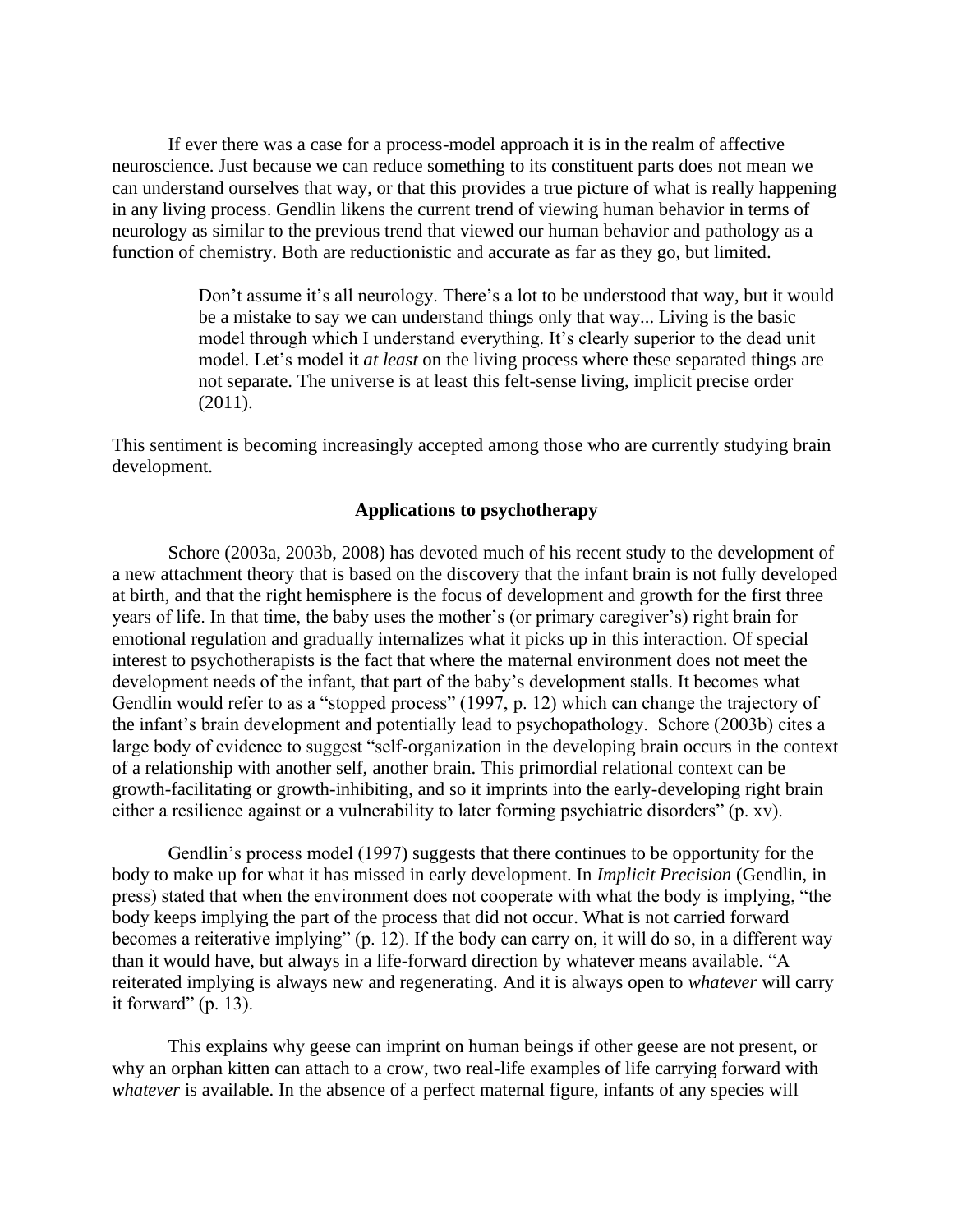If ever there was a case for a process-model approach it is in the realm of affective neuroscience. Just because we can reduce something to its constituent parts does not mean we can understand ourselves that way, or that this provides a true picture of what is really happening in any living process. Gendlin likens the current trend of viewing human behavior in terms of neurology as similar to the previous trend that viewed our human behavior and pathology as a function of chemistry. Both are reductionistic and accurate as far as they go, but limited.

> Don't assume it's all neurology. There's a lot to be understood that way, but it would be a mistake to say we can understand things only that way... Living is the basic model through which I understand everything. It's clearly superior to the dead unit model. Let's model it *at least* on the living process where these separated things are not separate. The universe is at least this felt-sense living, implicit precise order (2011).

This sentiment is becoming increasingly accepted among those who are currently studying brain development.

## **Applications to psychotherapy**

Schore (2003a, 2003b, 2008) has devoted much of his recent study to the development of a new attachment theory that is based on the discovery that the infant brain is not fully developed at birth, and that the right hemisphere is the focus of development and growth for the first three years of life. In that time, the baby uses the mother's (or primary caregiver's) right brain for emotional regulation and gradually internalizes what it picks up in this interaction. Of special interest to psychotherapists is the fact that where the maternal environment does not meet the development needs of the infant, that part of the baby's development stalls. It becomes what Gendlin would refer to as a "stopped process" (1997, p. 12) which can change the trajectory of the infant's brain development and potentially lead to psychopathology. Schore (2003b) cites a large body of evidence to suggest "self-organization in the developing brain occurs in the context of a relationship with another self, another brain. This primordial relational context can be growth-facilitating or growth-inhibiting, and so it imprints into the early-developing right brain either a resilience against or a vulnerability to later forming psychiatric disorders" (p. xv).

Gendlin's process model (1997) suggests that there continues to be opportunity for the body to make up for what it has missed in early development. In *Implicit Precision* (Gendlin, in press) stated that when the environment does not cooperate with what the body is implying, "the body keeps implying the part of the process that did not occur. What is not carried forward becomes a reiterative implying" (p. 12). If the body can carry on, it will do so, in a different way than it would have, but always in a life-forward direction by whatever means available. "A reiterated implying is always new and regenerating. And it is always open to *whatever* will carry it forward"  $(p. 13)$ .

This explains why geese can imprint on human beings if other geese are not present, or why an orphan kitten can attach to a crow, two real-life examples of life carrying forward with *whatever* is available. In the absence of a perfect maternal figure, infants of any species will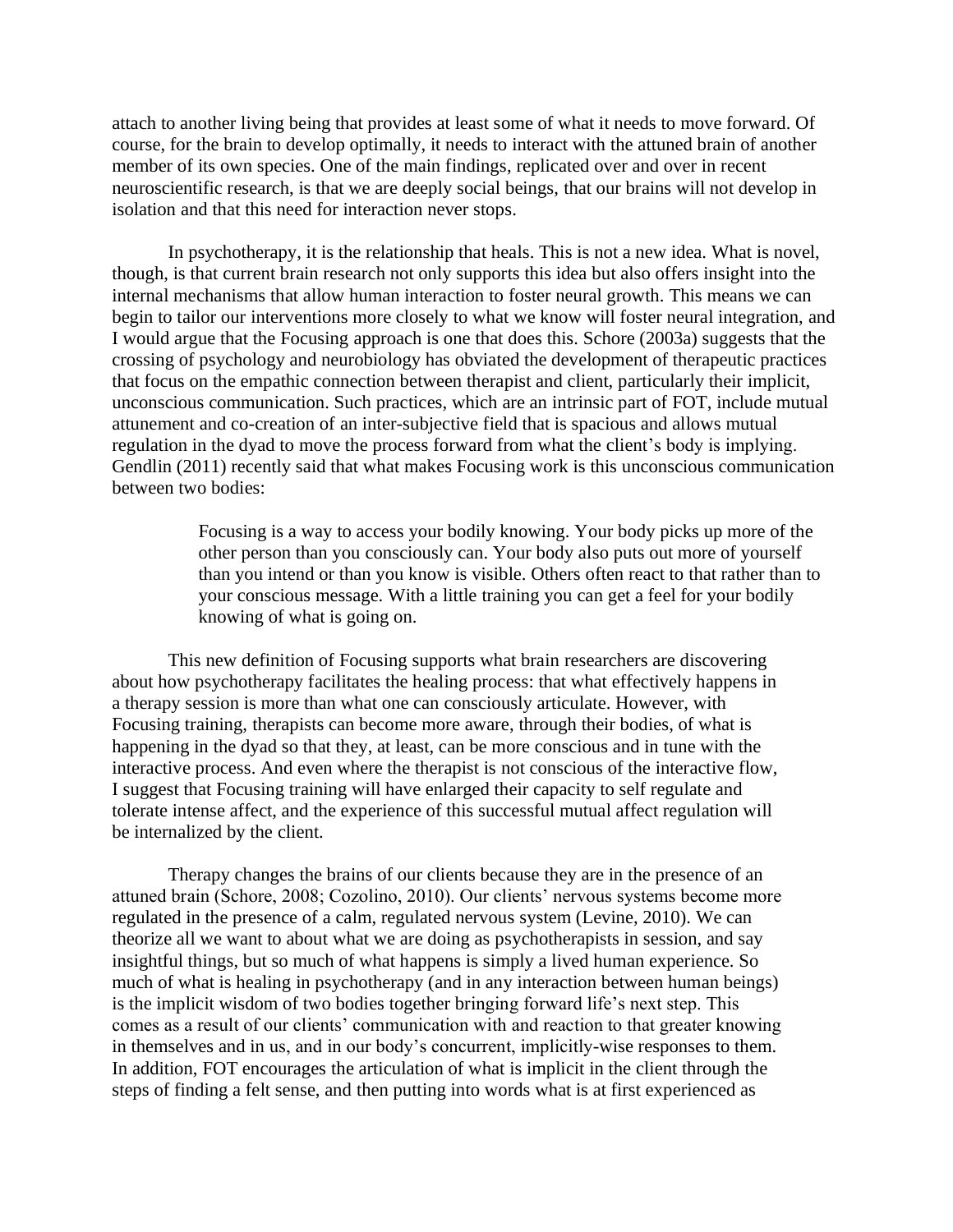attach to another living being that provides at least some of what it needs to move forward. Of course, for the brain to develop optimally, it needs to interact with the attuned brain of another member of its own species. One of the main findings, replicated over and over in recent neuroscientific research, is that we are deeply social beings, that our brains will not develop in isolation and that this need for interaction never stops.

In psychotherapy, it is the relationship that heals. This is not a new idea. What is novel, though, is that current brain research not only supports this idea but also offers insight into the internal mechanisms that allow human interaction to foster neural growth. This means we can begin to tailor our interventions more closely to what we know will foster neural integration, and I would argue that the Focusing approach is one that does this. Schore (2003a) suggests that the crossing of psychology and neurobiology has obviated the development of therapeutic practices that focus on the empathic connection between therapist and client, particularly their implicit, unconscious communication. Such practices, which are an intrinsic part of FOT, include mutual attunement and co-creation of an inter-subjective field that is spacious and allows mutual regulation in the dyad to move the process forward from what the client's body is implying. Gendlin (2011) recently said that what makes Focusing work is this unconscious communication between two bodies:

> Focusing is a way to access your bodily knowing. Your body picks up more of the other person than you consciously can. Your body also puts out more of yourself than you intend or than you know is visible. Others often react to that rather than to your conscious message. With a little training you can get a feel for your bodily knowing of what is going on.

This new definition of Focusing supports what brain researchers are discovering about how psychotherapy facilitates the healing process: that what effectively happens in a therapy session is more than what one can consciously articulate. However, with Focusing training, therapists can become more aware, through their bodies, of what is happening in the dyad so that they, at least, can be more conscious and in tune with the interactive process. And even where the therapist is not conscious of the interactive flow, I suggest that Focusing training will have enlarged their capacity to self regulate and tolerate intense affect, and the experience of this successful mutual affect regulation will be internalized by the client.

Therapy changes the brains of our clients because they are in the presence of an attuned brain (Schore, 2008; Cozolino, 2010). Our clients' nervous systems become more regulated in the presence of a calm, regulated nervous system (Levine, 2010). We can theorize all we want to about what we are doing as psychotherapists in session, and say insightful things, but so much of what happens is simply a lived human experience. So much of what is healing in psychotherapy (and in any interaction between human beings) is the implicit wisdom of two bodies together bringing forward life's next step. This comes as a result of our clients' communication with and reaction to that greater knowing in themselves and in us, and in our body's concurrent, implicitly-wise responses to them. In addition, FOT encourages the articulation of what is implicit in the client through the steps of finding a felt sense, and then putting into words what is at first experienced as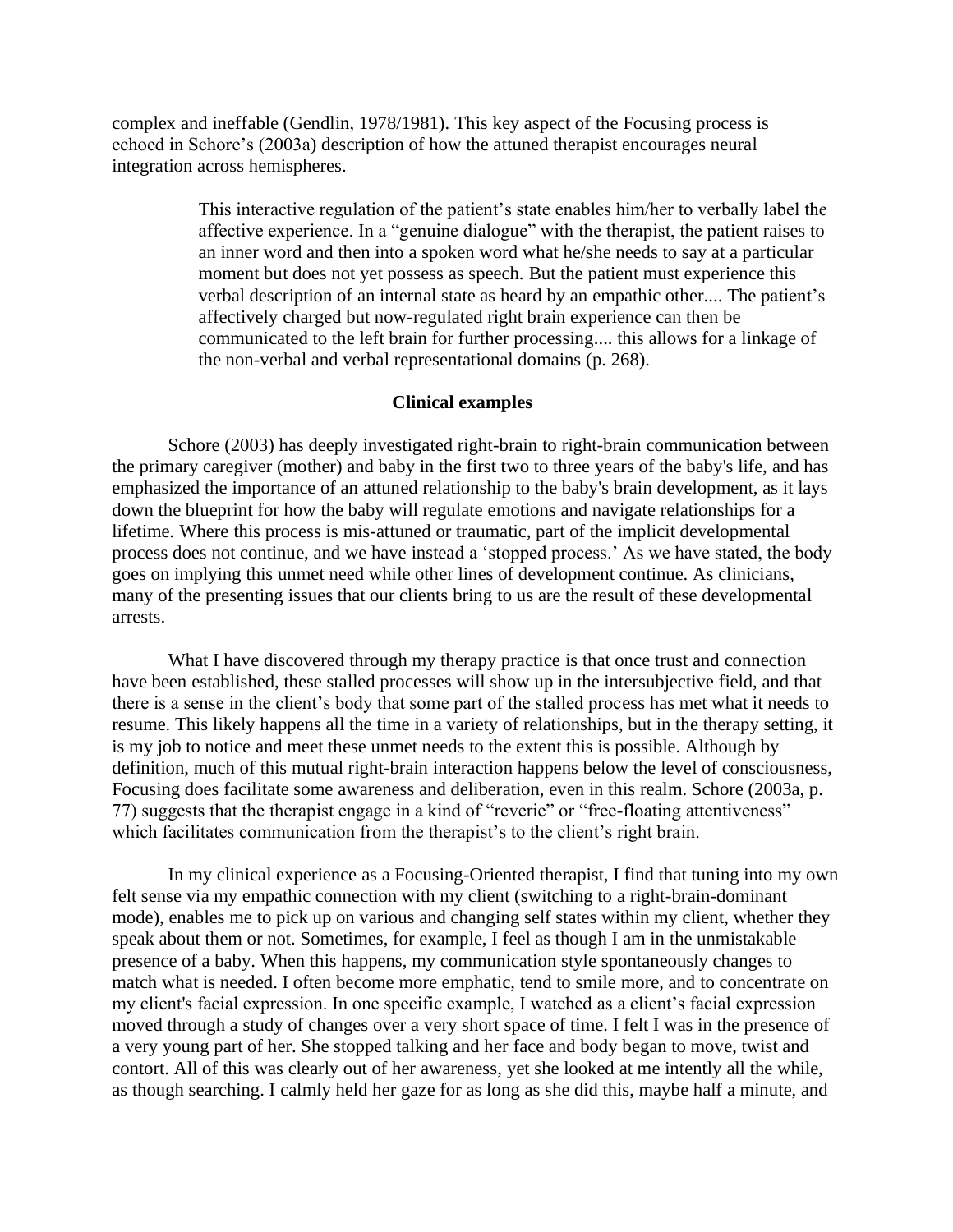complex and ineffable (Gendlin, 1978/1981). This key aspect of the Focusing process is echoed in Schore's (2003a) description of how the attuned therapist encourages neural integration across hemispheres.

> This interactive regulation of the patient's state enables him/her to verbally label the affective experience. In a "genuine dialogue" with the therapist, the patient raises to an inner word and then into a spoken word what he/she needs to say at a particular moment but does not yet possess as speech. But the patient must experience this verbal description of an internal state as heard by an empathic other.... The patient's affectively charged but now-regulated right brain experience can then be communicated to the left brain for further processing.... this allows for a linkage of the non-verbal and verbal representational domains (p. 268).

## **Clinical examples**

Schore (2003) has deeply investigated right-brain to right-brain communication between the primary caregiver (mother) and baby in the first two to three years of the baby's life, and has emphasized the importance of an attuned relationship to the baby's brain development, as it lays down the blueprint for how the baby will regulate emotions and navigate relationships for a lifetime. Where this process is mis-attuned or traumatic, part of the implicit developmental process does not continue, and we have instead a 'stopped process.' As we have stated, the body goes on implying this unmet need while other lines of development continue. As clinicians, many of the presenting issues that our clients bring to us are the result of these developmental arrests.

What I have discovered through my therapy practice is that once trust and connection have been established, these stalled processes will show up in the intersubjective field, and that there is a sense in the client's body that some part of the stalled process has met what it needs to resume. This likely happens all the time in a variety of relationships, but in the therapy setting, it is my job to notice and meet these unmet needs to the extent this is possible. Although by definition, much of this mutual right-brain interaction happens below the level of consciousness, Focusing does facilitate some awareness and deliberation, even in this realm. Schore (2003a, p. 77) suggests that the therapist engage in a kind of "reverie" or "free-floating attentiveness" which facilitates communication from the therapist's to the client's right brain.

In my clinical experience as a Focusing-Oriented therapist, I find that tuning into my own felt sense via my empathic connection with my client (switching to a right-brain-dominant mode), enables me to pick up on various and changing self states within my client, whether they speak about them or not. Sometimes, for example, I feel as though I am in the unmistakable presence of a baby. When this happens, my communication style spontaneously changes to match what is needed. I often become more emphatic, tend to smile more, and to concentrate on my client's facial expression. In one specific example, I watched as a client's facial expression moved through a study of changes over a very short space of time. I felt I was in the presence of a very young part of her. She stopped talking and her face and body began to move, twist and contort. All of this was clearly out of her awareness, yet she looked at me intently all the while, as though searching. I calmly held her gaze for as long as she did this, maybe half a minute, and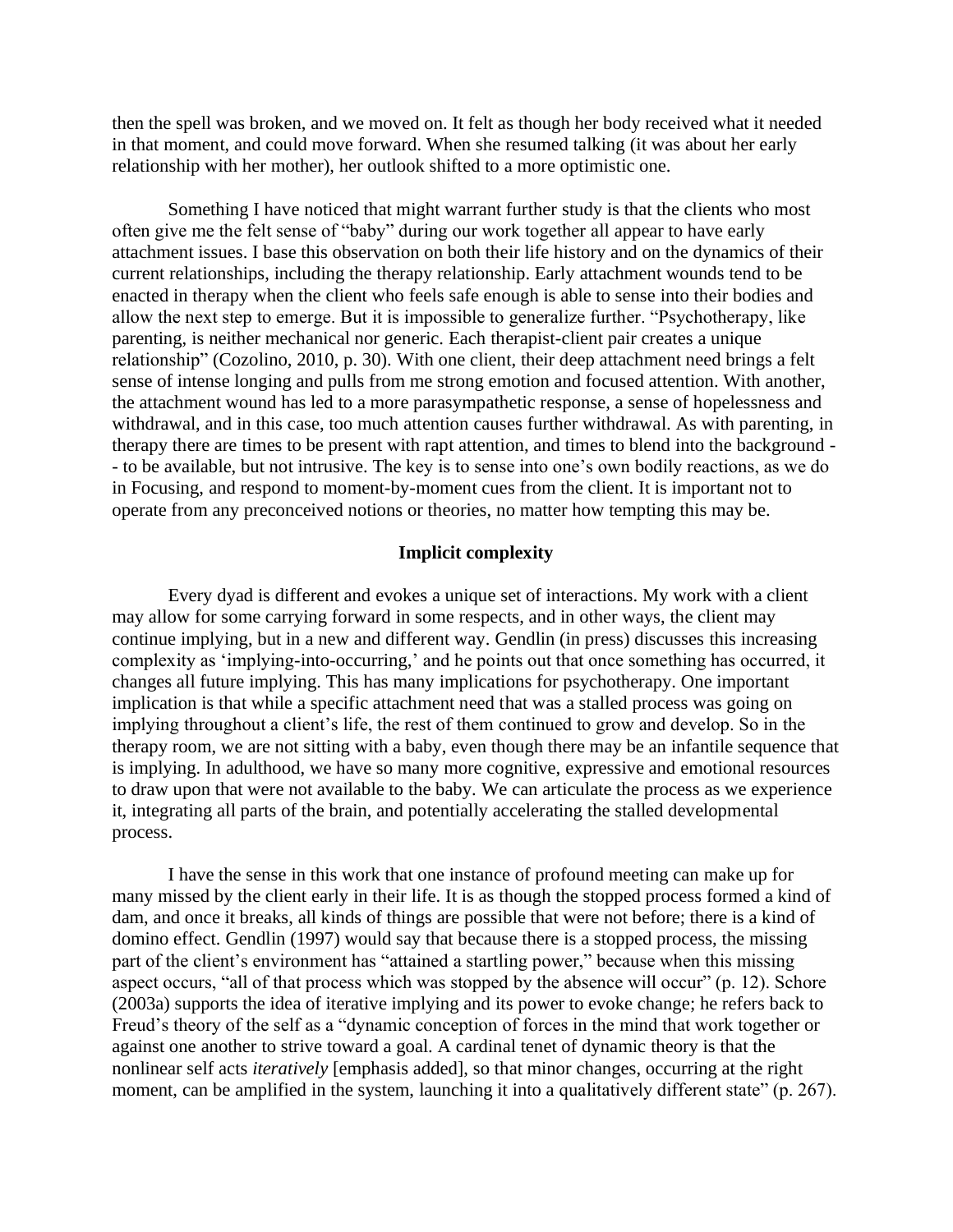then the spell was broken, and we moved on. It felt as though her body received what it needed in that moment, and could move forward. When she resumed talking (it was about her early relationship with her mother), her outlook shifted to a more optimistic one.

Something I have noticed that might warrant further study is that the clients who most often give me the felt sense of "baby" during our work together all appear to have early attachment issues. I base this observation on both their life history and on the dynamics of their current relationships, including the therapy relationship. Early attachment wounds tend to be enacted in therapy when the client who feels safe enough is able to sense into their bodies and allow the next step to emerge. But it is impossible to generalize further. "Psychotherapy, like parenting, is neither mechanical nor generic. Each therapist-client pair creates a unique relationship" (Cozolino, 2010, p. 30). With one client, their deep attachment need brings a felt sense of intense longing and pulls from me strong emotion and focused attention. With another, the attachment wound has led to a more parasympathetic response, a sense of hopelessness and withdrawal, and in this case, too much attention causes further withdrawal. As with parenting, in therapy there are times to be present with rapt attention, and times to blend into the background - - to be available, but not intrusive. The key is to sense into one's own bodily reactions, as we do in Focusing, and respond to moment-by-moment cues from the client. It is important not to operate from any preconceived notions or theories, no matter how tempting this may be.

#### **Implicit complexity**

Every dyad is different and evokes a unique set of interactions. My work with a client may allow for some carrying forward in some respects, and in other ways, the client may continue implying, but in a new and different way. Gendlin (in press) discusses this increasing complexity as 'implying-into-occurring,' and he points out that once something has occurred, it changes all future implying. This has many implications for psychotherapy. One important implication is that while a specific attachment need that was a stalled process was going on implying throughout a client's life, the rest of them continued to grow and develop. So in the therapy room, we are not sitting with a baby, even though there may be an infantile sequence that is implying. In adulthood, we have so many more cognitive, expressive and emotional resources to draw upon that were not available to the baby. We can articulate the process as we experience it, integrating all parts of the brain, and potentially accelerating the stalled developmental process.

I have the sense in this work that one instance of profound meeting can make up for many missed by the client early in their life. It is as though the stopped process formed a kind of dam, and once it breaks, all kinds of things are possible that were not before; there is a kind of domino effect. Gendlin (1997) would say that because there is a stopped process, the missing part of the client's environment has "attained a startling power," because when this missing aspect occurs, "all of that process which was stopped by the absence will occur" (p. 12). Schore (2003a) supports the idea of iterative implying and its power to evoke change; he refers back to Freud's theory of the self as a "dynamic conception of forces in the mind that work together or against one another to strive toward a goal. A cardinal tenet of dynamic theory is that the nonlinear self acts *iteratively* [emphasis added], so that minor changes, occurring at the right moment, can be amplified in the system, launching it into a qualitatively different state" (p. 267).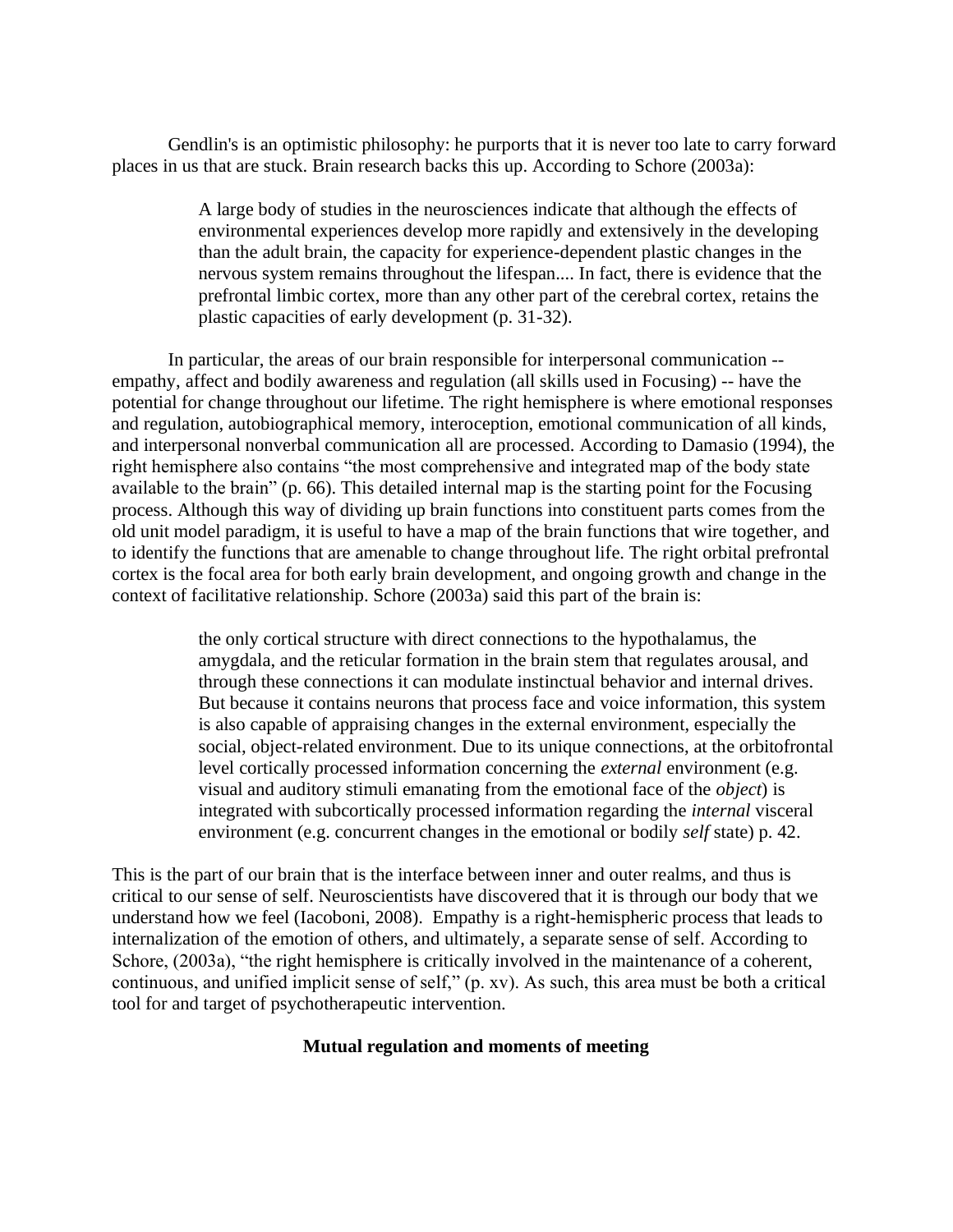Gendlin's is an optimistic philosophy: he purports that it is never too late to carry forward places in us that are stuck. Brain research backs this up. According to Schore (2003a):

> A large body of studies in the neurosciences indicate that although the effects of environmental experiences develop more rapidly and extensively in the developing than the adult brain, the capacity for experience-dependent plastic changes in the nervous system remains throughout the lifespan.... In fact, there is evidence that the prefrontal limbic cortex, more than any other part of the cerebral cortex, retains the plastic capacities of early development (p. 31-32).

In particular, the areas of our brain responsible for interpersonal communication - empathy, affect and bodily awareness and regulation (all skills used in Focusing) -- have the potential for change throughout our lifetime. The right hemisphere is where emotional responses and regulation, autobiographical memory, interoception, emotional communication of all kinds, and interpersonal nonverbal communication all are processed. According to Damasio (1994), the right hemisphere also contains "the most comprehensive and integrated map of the body state available to the brain" (p. 66). This detailed internal map is the starting point for the Focusing process. Although this way of dividing up brain functions into constituent parts comes from the old unit model paradigm, it is useful to have a map of the brain functions that wire together, and to identify the functions that are amenable to change throughout life. The right orbital prefrontal cortex is the focal area for both early brain development, and ongoing growth and change in the context of facilitative relationship. Schore (2003a) said this part of the brain is:

> the only cortical structure with direct connections to the hypothalamus, the amygdala, and the reticular formation in the brain stem that regulates arousal, and through these connections it can modulate instinctual behavior and internal drives. But because it contains neurons that process face and voice information, this system is also capable of appraising changes in the external environment, especially the social, object-related environment. Due to its unique connections, at the orbitofrontal level cortically processed information concerning the *external* environment (e.g. visual and auditory stimuli emanating from the emotional face of the *object*) is integrated with subcortically processed information regarding the *internal* visceral environment (e.g. concurrent changes in the emotional or bodily *self* state) p. 42.

This is the part of our brain that is the interface between inner and outer realms, and thus is critical to our sense of self. Neuroscientists have discovered that it is through our body that we understand how we feel (Iacoboni, 2008). Empathy is a right-hemispheric process that leads to internalization of the emotion of others, and ultimately, a separate sense of self. According to Schore, (2003a), "the right hemisphere is critically involved in the maintenance of a coherent, continuous, and unified implicit sense of self," (p. xv). As such, this area must be both a critical tool for and target of psychotherapeutic intervention.

## **Mutual regulation and moments of meeting**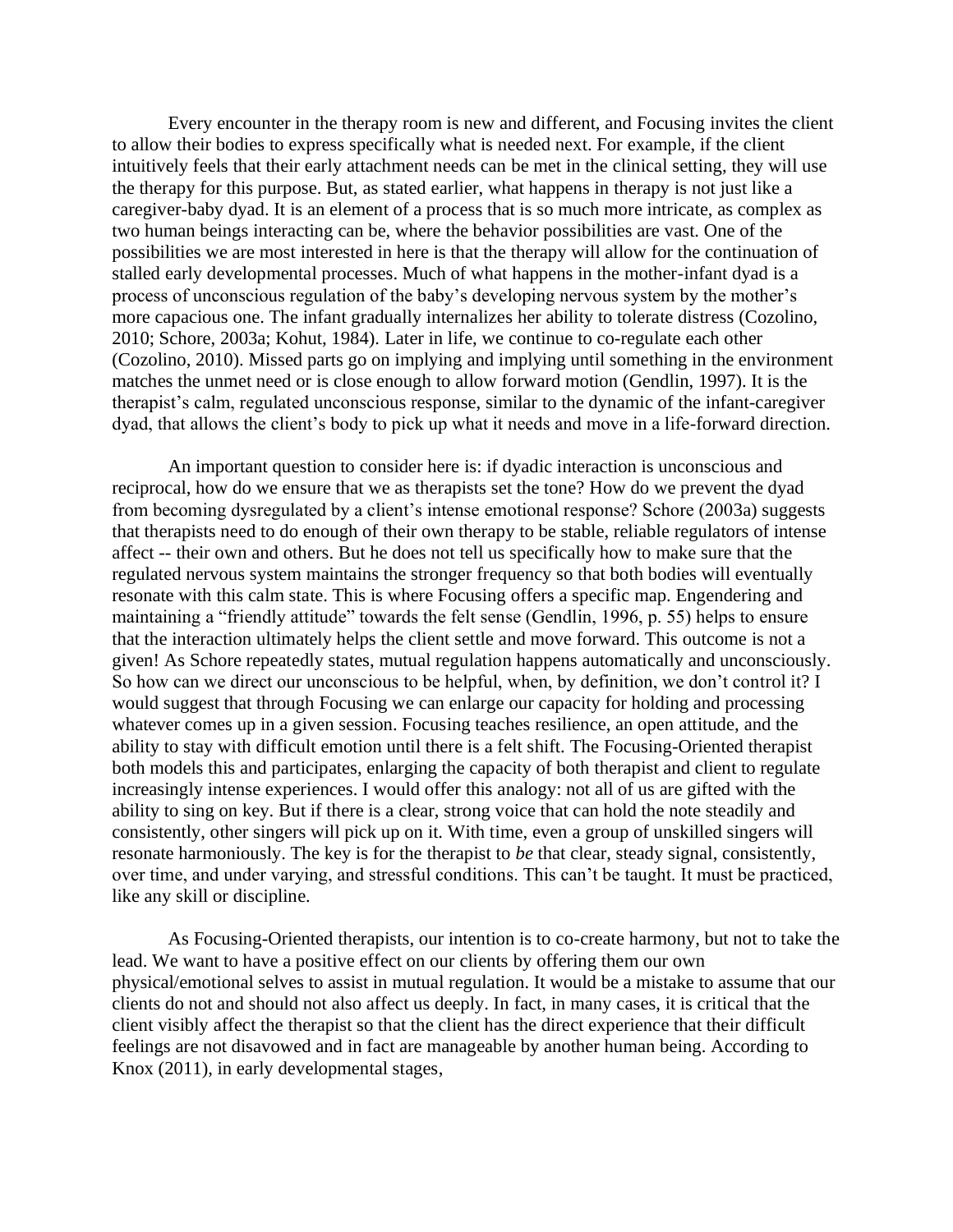Every encounter in the therapy room is new and different, and Focusing invites the client to allow their bodies to express specifically what is needed next. For example, if the client intuitively feels that their early attachment needs can be met in the clinical setting, they will use the therapy for this purpose. But, as stated earlier, what happens in therapy is not just like a caregiver-baby dyad. It is an element of a process that is so much more intricate, as complex as two human beings interacting can be, where the behavior possibilities are vast. One of the possibilities we are most interested in here is that the therapy will allow for the continuation of stalled early developmental processes. Much of what happens in the mother-infant dyad is a process of unconscious regulation of the baby's developing nervous system by the mother's more capacious one. The infant gradually internalizes her ability to tolerate distress (Cozolino, 2010; Schore, 2003a; Kohut, 1984). Later in life, we continue to co-regulate each other (Cozolino, 2010). Missed parts go on implying and implying until something in the environment matches the unmet need or is close enough to allow forward motion (Gendlin, 1997). It is the therapist's calm, regulated unconscious response, similar to the dynamic of the infant-caregiver dyad, that allows the client's body to pick up what it needs and move in a life-forward direction.

An important question to consider here is: if dyadic interaction is unconscious and reciprocal, how do we ensure that we as therapists set the tone? How do we prevent the dyad from becoming dysregulated by a client's intense emotional response? Schore (2003a) suggests that therapists need to do enough of their own therapy to be stable, reliable regulators of intense affect -- their own and others. But he does not tell us specifically how to make sure that the regulated nervous system maintains the stronger frequency so that both bodies will eventually resonate with this calm state. This is where Focusing offers a specific map. Engendering and maintaining a "friendly attitude" towards the felt sense (Gendlin, 1996, p. 55) helps to ensure that the interaction ultimately helps the client settle and move forward. This outcome is not a given! As Schore repeatedly states, mutual regulation happens automatically and unconsciously. So how can we direct our unconscious to be helpful, when, by definition, we don't control it? I would suggest that through Focusing we can enlarge our capacity for holding and processing whatever comes up in a given session. Focusing teaches resilience, an open attitude, and the ability to stay with difficult emotion until there is a felt shift. The Focusing-Oriented therapist both models this and participates, enlarging the capacity of both therapist and client to regulate increasingly intense experiences. I would offer this analogy: not all of us are gifted with the ability to sing on key. But if there is a clear, strong voice that can hold the note steadily and consistently, other singers will pick up on it. With time, even a group of unskilled singers will resonate harmoniously. The key is for the therapist to *be* that clear, steady signal, consistently, over time, and under varying, and stressful conditions. This can't be taught. It must be practiced, like any skill or discipline.

As Focusing-Oriented therapists, our intention is to co-create harmony, but not to take the lead. We want to have a positive effect on our clients by offering them our own physical/emotional selves to assist in mutual regulation. It would be a mistake to assume that our clients do not and should not also affect us deeply. In fact, in many cases, it is critical that the client visibly affect the therapist so that the client has the direct experience that their difficult feelings are not disavowed and in fact are manageable by another human being. According to Knox (2011), in early developmental stages,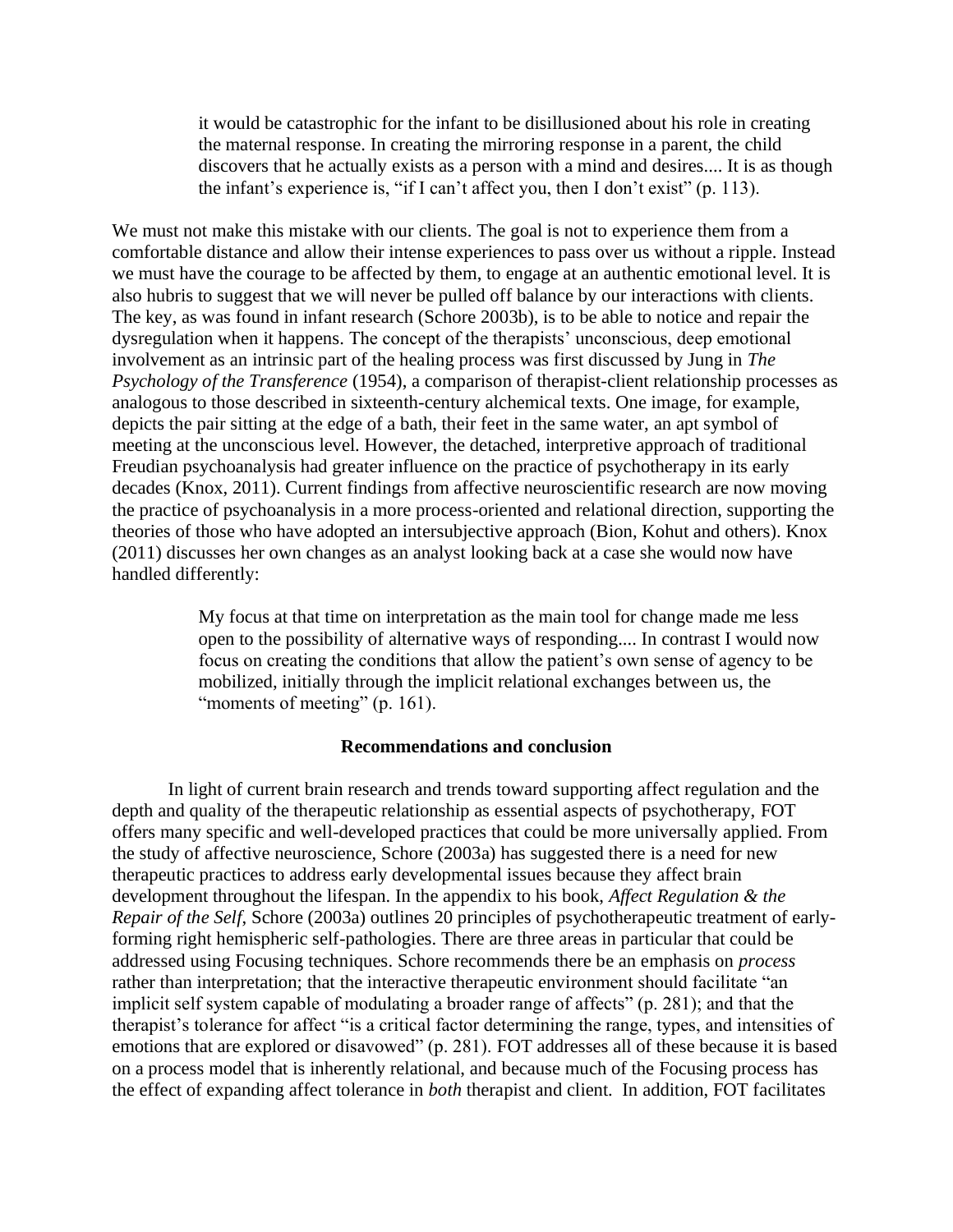it would be catastrophic for the infant to be disillusioned about his role in creating the maternal response. In creating the mirroring response in a parent, the child discovers that he actually exists as a person with a mind and desires.... It is as though the infant's experience is, "if I can't affect you, then I don't exist" (p. 113).

We must not make this mistake with our clients. The goal is not to experience them from a comfortable distance and allow their intense experiences to pass over us without a ripple. Instead we must have the courage to be affected by them, to engage at an authentic emotional level. It is also hubris to suggest that we will never be pulled off balance by our interactions with clients. The key, as was found in infant research (Schore 2003b), is to be able to notice and repair the dysregulation when it happens. The concept of the therapists' unconscious, deep emotional involvement as an intrinsic part of the healing process was first discussed by Jung in *The Psychology of the Transference* (1954), a comparison of therapist-client relationship processes as analogous to those described in sixteenth-century alchemical texts. One image, for example, depicts the pair sitting at the edge of a bath, their feet in the same water, an apt symbol of meeting at the unconscious level. However, the detached, interpretive approach of traditional Freudian psychoanalysis had greater influence on the practice of psychotherapy in its early decades (Knox, 2011). Current findings from affective neuroscientific research are now moving the practice of psychoanalysis in a more process-oriented and relational direction, supporting the theories of those who have adopted an intersubjective approach (Bion, Kohut and others). Knox (2011) discusses her own changes as an analyst looking back at a case she would now have handled differently:

> My focus at that time on interpretation as the main tool for change made me less open to the possibility of alternative ways of responding.... In contrast I would now focus on creating the conditions that allow the patient's own sense of agency to be mobilized, initially through the implicit relational exchanges between us, the "moments of meeting" (p. 161).

#### **Recommendations and conclusion**

In light of current brain research and trends toward supporting affect regulation and the depth and quality of the therapeutic relationship as essential aspects of psychotherapy, FOT offers many specific and well-developed practices that could be more universally applied. From the study of affective neuroscience, Schore (2003a) has suggested there is a need for new therapeutic practices to address early developmental issues because they affect brain development throughout the lifespan. In the appendix to his book, *Affect Regulation & the Repair of the Self*, Schore (2003a) outlines 20 principles of psychotherapeutic treatment of earlyforming right hemispheric self-pathologies. There are three areas in particular that could be addressed using Focusing techniques. Schore recommends there be an emphasis on *process* rather than interpretation; that the interactive therapeutic environment should facilitate "an implicit self system capable of modulating a broader range of affects" (p. 281); and that the therapist's tolerance for affect "is a critical factor determining the range, types, and intensities of emotions that are explored or disavowed" (p. 281). FOT addresses all of these because it is based on a process model that is inherently relational, and because much of the Focusing process has the effect of expanding affect tolerance in *both* therapist and client. In addition, FOT facilitates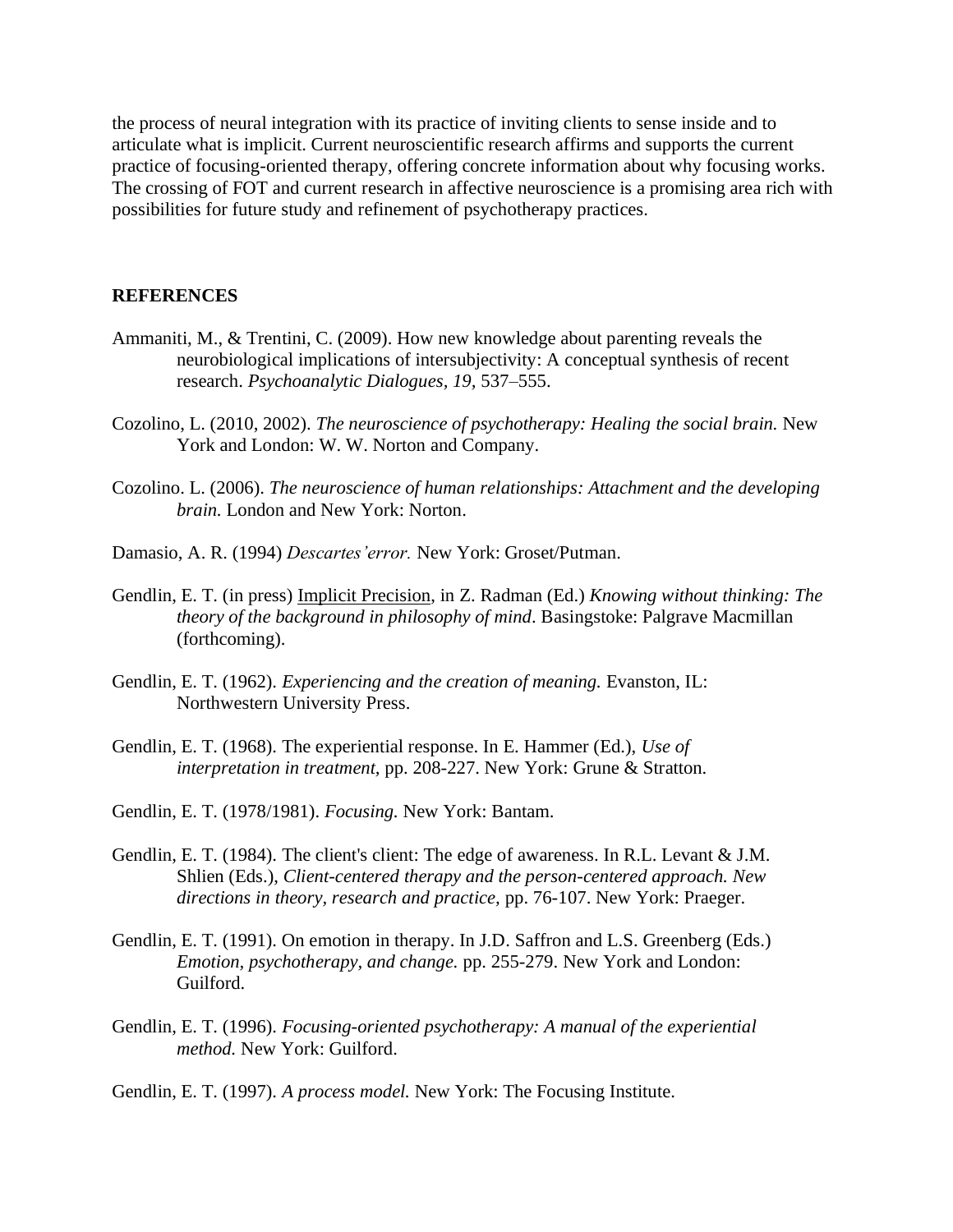the process of neural integration with its practice of inviting clients to sense inside and to articulate what is implicit. Current neuroscientific research affirms and supports the current practice of focusing-oriented therapy, offering concrete information about why focusing works. The crossing of FOT and current research in affective neuroscience is a promising area rich with possibilities for future study and refinement of psychotherapy practices.

## **REFERENCES**

- Ammaniti, M., & Trentini, C. (2009). How new knowledge about parenting reveals the neurobiological implications of intersubjectivity: A conceptual synthesis of recent research. *Psychoanalytic Dialogues, 19,* 537–555.
- Cozolino, L. (2010, 2002). *The neuroscience of psychotherapy: Healing the social brain.* New York and London: W. W. Norton and Company.
- Cozolino. L. (2006). *The neuroscience of human relationships: Attachment and the developing brain.* London and New York: Norton.
- Damasio, A. R. (1994) *Descartes'error.* New York: Groset/Putman.
- Gendlin, E. T. (in press) [Implicit Precision,](http://www.focusing.org/gendlin/pdf/gendlin_implicit_precision.pdf) in Z. Radman (Ed.) *Knowing without thinking: The theory of the background in philosophy of mind*. Basingstoke: Palgrave Macmillan (forthcoming).
- Gendlin, E. T. (1962). *Experiencing and the creation of meaning.* Evanston, IL: Northwestern University Press.
- Gendlin, E. T. (1968). The experiential response. In E. Hammer (Ed.), *Use of interpretation in treatment,* pp. 208-227. New York: Grune & Stratton.
- Gendlin, E. T. (1978/1981). *Focusing.* New York: Bantam.
- Gendlin, E. T. (1984). The client's client: The edge of awareness. In R.L. Levant & J.M. Shlien (Eds.), *Client-centered therapy and the person-centered approach. New directions in theory, research and practice,* pp. 76-107. New York: Praeger.
- Gendlin, E. T. (1991). On emotion in therapy. In J.D. Saffron and L.S. Greenberg (Eds.) *Emotion, psychotherapy, and change.* pp. 255-279. New York and London: Guilford.
- Gendlin, E. T. (1996). *Focusing-oriented psychotherapy: A manual of the experiential method.* New York: Guilford.
- Gendlin, E. T. (1997). *A process model.* New York: The Focusing Institute.